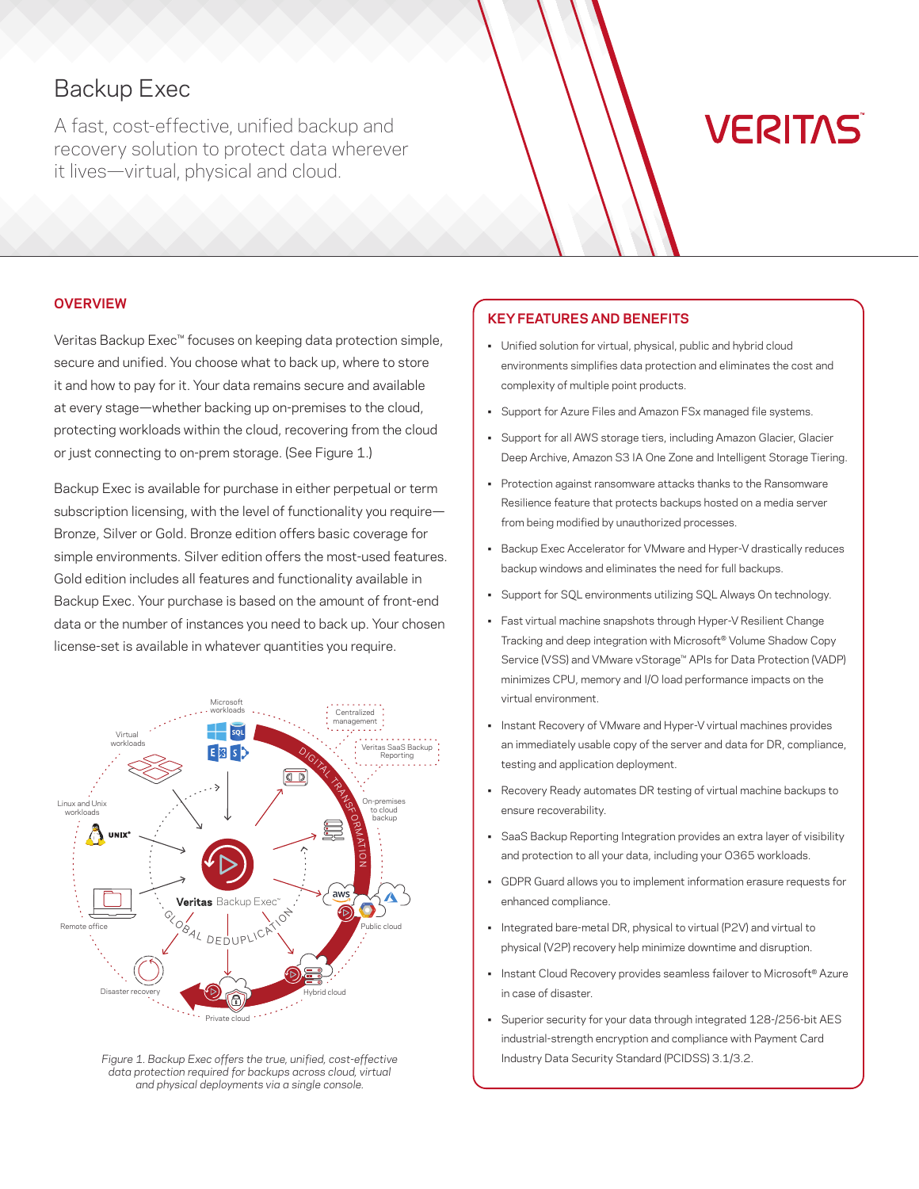# Backup Exec

A fast, cost-effective, unified backup and recovery solution to protect data wherever it lives—virtual, physical and cloud.

# **VERITAS**

# **OVERVIEW**

Veritas Backup Exec™ focuses on keeping data protection simple, secure and unified. You choose what to back up, where to store it and how to pay for it. Your data remains secure and available at every stage—whether backing up on-premises to the cloud, protecting workloads within the cloud, recovering from the cloud or just connecting to on-prem storage. (See Figure 1.)

Backup Exec is available for purchase in either perpetual or term subscription licensing, with the level of functionality you require-Bronze, Silver or Gold. Bronze edition offers basic coverage for simple environments. Silver edition offers the most-used features. Gold edition includes all features and functionality available in Backup Exec. Your purchase is based on the amount of front-end data or the number of instances you need to back up. Your chosen license-set is available in whatever quantities you require.



*Figure 1. Backup Exec offers the true, unified, cost-effective data protection required for backups across cloud, virtual and physical deployments via a single console.*

# **KEY FEATURES AND BENEFITS**

- Unified solution for virtual, physical, public and hybrid cloud environments simplifies data protection and eliminates the cost and complexity of multiple point products.
- Support for Azure Files and Amazon FSx managed file systems.
- Support for all AWS storage tiers, including Amazon Glacier, Glacier Deep Archive, Amazon S3 IA One Zone and Intelligent Storage Tiering.
- Protection against ransomware attacks thanks to the Ransomware Resilience feature that protects backups hosted on a media server from being modified by unauthorized processes.
- Backup Exec Accelerator for VMware and Hyper-V drastically reduces backup windows and eliminates the need for full backups.
- Support for SQL environments utilizing SQL Always On technology.
- Fast virtual machine snapshots through Hyper-V Resilient Change Tracking and deep integration with Microsoft® Volume Shadow Copy Service (VSS) and VMware vStorage™ APIs for Data Protection (VADP) minimizes CPU, memory and I/O load performance impacts on the virtual environment.
- Instant Recovery of VMware and Hyper-V virtual machines provides an immediately usable copy of the server and data for DR, compliance, testing and application deployment.
- Recovery Ready automates DR testing of virtual machine backups to ensure recoverability.
- SaaS Backup Reporting Integration provides an extra layer of visibility and protection to all your data, including your O365 workloads.
- GDPR Guard allows you to implement information erasure requests for enhanced compliance.
- Integrated bare-metal DR, physical to virtual (P2V) and virtual to physical (V2P) recovery help minimize downtime and disruption.
- Instant Cloud Recovery provides seamless failover to Microsoft® Azure in case of disaster.
- Superior security for your data through integrated 128-/256-bit AES industrial-strength encryption and compliance with Payment Card Industry Data Security Standard (PCIDSS) 3.1/3.2.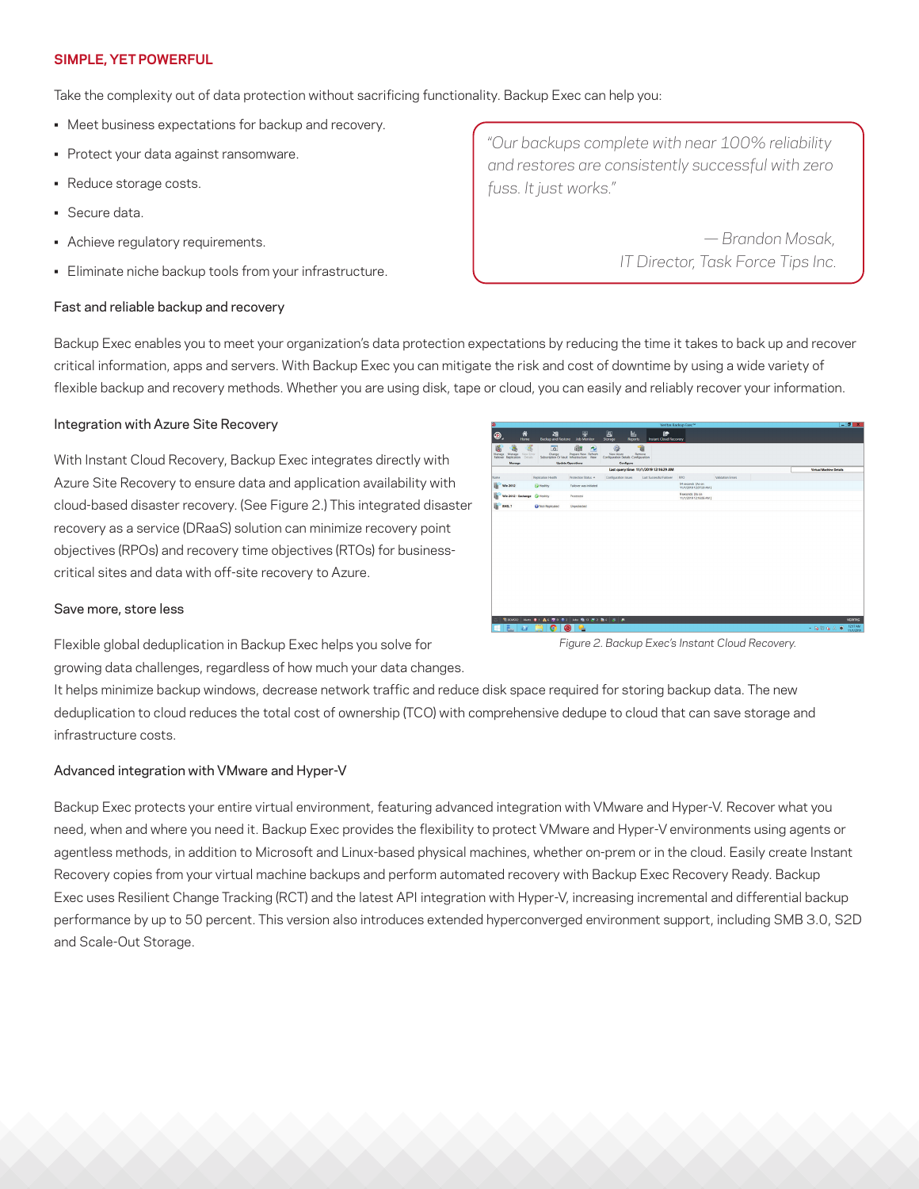# **SIMPLE, YET POWERFUL**

Take the complexity out of data protection without sacrificing functionality. Backup Exec can help you:

- Meet business expectations for backup and recovery.
- Protect your data against ransomware.
- Reduce storage costs.
- Secure data.
- Achieve regulatory requirements.
- Eliminate niche backup tools from your infrastructure.

# Fast and reliable backup and recovery

*"Our backups complete with near 100% reliability and restores are consistently successful with zero fuss. It just works."*

> *— Brandon Mosak, IT Director, Task Force Tips Inc.*

Backup Exec enables you to meet your organization's data protection expectations by reducing the time it takes to back up and recover critical information, apps and servers. With Backup Exec you can mitigate the risk and cost of downtime by using a wide variety of flexible backup and recovery methods. Whether you are using disk, tape or cloud, you can easily and reliably recover your information.

# Integration with Azure Site Recovery

With Instant Cloud Recovery, Backup Exec integrates directly with Azure Site Recovery to ensure data and application availability with cloud-based disaster recovery. (See Figure 2.) This integrated disaster recovery as a service (DRaaS) solution can minimize recovery point objectives (RPOs) and recovery time objectives (RTOs) for businesscritical sites and data with off-site recovery to Azure.

|                                                                                                  |                                                   |                                                                                                         |                                                                     |                                        | Veritas Backup Exec <sup>-+</sup>            |                  | $-0 x$                         |
|--------------------------------------------------------------------------------------------------|---------------------------------------------------|---------------------------------------------------------------------------------------------------------|---------------------------------------------------------------------|----------------------------------------|----------------------------------------------|------------------|--------------------------------|
| 俗<br>◉.<br>Home                                                                                  | 額<br><b>Backup and Restore</b>                    | 田<br>Job Monitor                                                                                        | 團<br>In.<br><b>Reports</b><br>Storage                               | 肿<br><b>Instant Cloud Recovery</b>     |                                              |                  |                                |
| ä<br>谣<br>Manage Manage View Erro<br>Failover Replication Details<br>Manage View Error<br>Manage | 濁<br>$\overline{\circ}$<br>Change                 | ŵР<br>٨<br>Prepare New Refresh<br>Subscription Or Vault Infrastructure View<br><b>Update Operations</b> | 迨<br>View Azure<br>Configuration Details Configuration<br>Configure | ٦b<br>Remove                           |                                              |                  |                                |
|                                                                                                  |                                                   |                                                                                                         |                                                                     | Last query time: 11/1/2019 12:16:29 AM |                                              |                  | <b>Virtual Machine Details</b> |
| Name                                                                                             | Reglication Health                                | Protection Status A                                                                                     | Configuration Issues                                                | Last Successful Failover               | RPO.                                         | Validation Frees |                                |
| ü<br>Win 2012                                                                                    | <b>G Healthy</b>                                  | Failover was initiated                                                                                  |                                                                     |                                        | 54 seconds (As on<br>11/1/2019 12:07:59 AM ] |                  |                                |
| Win 2012 - Exchange @ Healthy                                                                    |                                                   | Protected                                                                                               |                                                                     |                                        | 9 seconds (As on<br>11/1/2019 12:16:06 AM J  |                  |                                |
| W<br><b>RHEL 7</b>                                                                               | <b>Ca</b> Non-Replicated                          | Unprotected                                                                                             |                                                                     |                                        |                                              |                  |                                |
|                                                                                                  |                                                   |                                                                                                         |                                                                     |                                        |                                              |                  |                                |
|                                                                                                  |                                                   |                                                                                                         |                                                                     |                                        |                                              |                  |                                |
|                                                                                                  | <b>TEMS22 Alets 全1 A 6 至0 の2 Abs 吸口 か2 熱6 3 あ</b> |                                                                                                         |                                                                     |                                        |                                              |                  | <b>VERTAS</b>                  |

# Save more, store less

Flexible global deduplication in Backup Exec helps you solve for growing data challenges, regardless of how much your data changes. *Figure 2. Backup Exec's Instant Cloud Recovery.*

It helps minimize backup windows, decrease network traffic and reduce disk space required for storing backup data. The new deduplication to cloud reduces the total cost of ownership (TCO) with comprehensive dedupe to cloud that can save storage and infrastructure costs.

# Advanced integration with VMware and Hyper-V

Backup Exec protects your entire virtual environment, featuring advanced integration with VMware and Hyper-V. Recover what you need, when and where you need it. Backup Exec provides the flexibility to protect VMware and Hyper-V environments using agents or agentless methods, in addition to Microsoft and Linux-based physical machines, whether on-prem or in the cloud. Easily create Instant Recovery copies from your virtual machine backups and perform automated recovery with Backup Exec Recovery Ready. Backup Exec uses Resilient Change Tracking (RCT) and the latest API integration with Hyper-V, increasing incremental and differential backup performance by up to 50 percent. This version also introduces extended hyperconverged environment support, including SMB 3.0, S2D and Scale-Out Storage.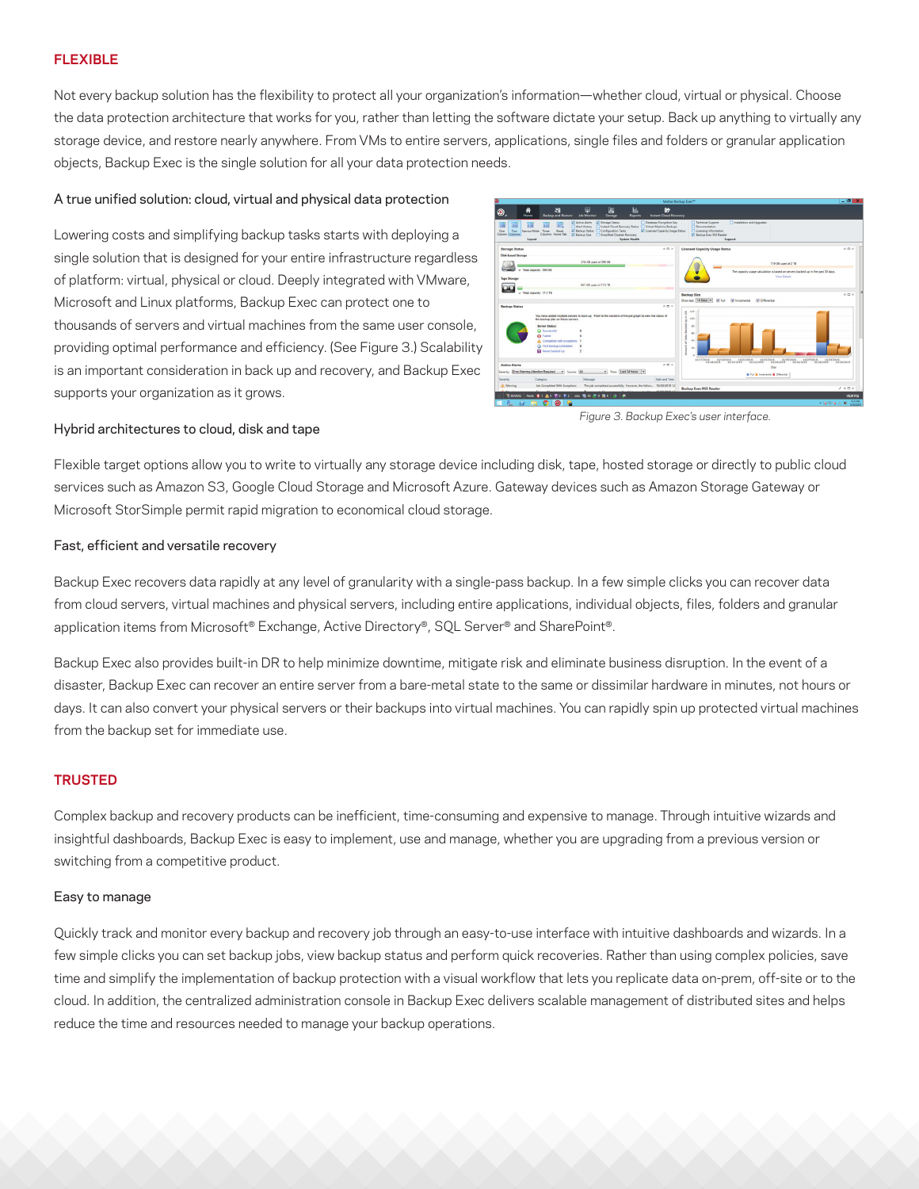# **FLEXIBLE**

Not every backup solution has the flexibility to protect all your organization's information—whether cloud, virtual or physical. Choose the data protection architecture that works for you, rather than letting the software dictate your setup. Back up anything to virtually any storage device, and restore nearly anywhere. From VMs to entire servers, applications, single files and folders or granular application objects, Backup Exec is the single solution for all your data protection needs.

#### A true unified solution: cloud, virtual and physical data protection

Lowering costs and simplifying backup tasks starts with deploying a single solution that is designed for your entire infrastructure regardless of platform: virtual, physical or cloud. Deeply integrated with VMware, Microsoft and Linux platforms, Backup Exec can protect one to thousands of servers and virtual machines from the same user console, providing optimal performance and efficiency. (See Figure 3.) Scalability is an important consideration in back up and recovery, and Backup Exec supports your organization as it grows.



#### Hybrid architectures to cloud, disk and tape

Flexible target options allow you to write to virtually any storage device including disk, tape, hosted storage or directly to public cloud services such as Amazon S3, Google Cloud Storage and Microsoft Azure. Gateway devices such as Amazon Storage Gateway or Microsoft StorSimple permit rapid migration to economical cloud storage.

#### Fast, efficient and versatile recovery

Backup Exec recovers data rapidly at any level of granularity with a single-pass backup. In a few simple clicks you can recover data from cloud servers, virtual machines and physical servers, including entire applications, individual objects, files, folders and granular application items from Microsoft® Exchange, Active Directory®, SQL Server® and SharePoint®.

Backup Exec also provides built-in DR to help minimize downtime, mitigate risk and eliminate business disruption. In the event of a disaster, Backup Exec can recover an entire server from a bare-metal state to the same or dissimilar hardware in minutes, not hours or days. It can also convert your physical servers or their backups into virtual machines. You can rapidly spin up protected virtual machines from the backup set for immediate use.

# **TRUSTED**

Complex backup and recovery products can be inefficient, time-consuming and expensive to manage. Through intuitive wizards and insightful dashboards, Backup Exec is easy to implement, use and manage, whether you are upgrading from a previous version or switching from a competitive product.

#### Easy to manage

Quickly track and monitor every backup and recovery job through an easy-to-use interface with intuitive dashboards and wizards. In a few simple clicks you can set backup jobs, view backup status and perform quick recoveries. Rather than using complex policies, save time and simplify the implementation of backup protection with a visual workflow that lets you replicate data on-prem, off-site or to the cloud. In addition, the centralized administration console in Backup Exec delivers scalable management of distributed sites and helps reduce the time and resources needed to manage your backup operations.